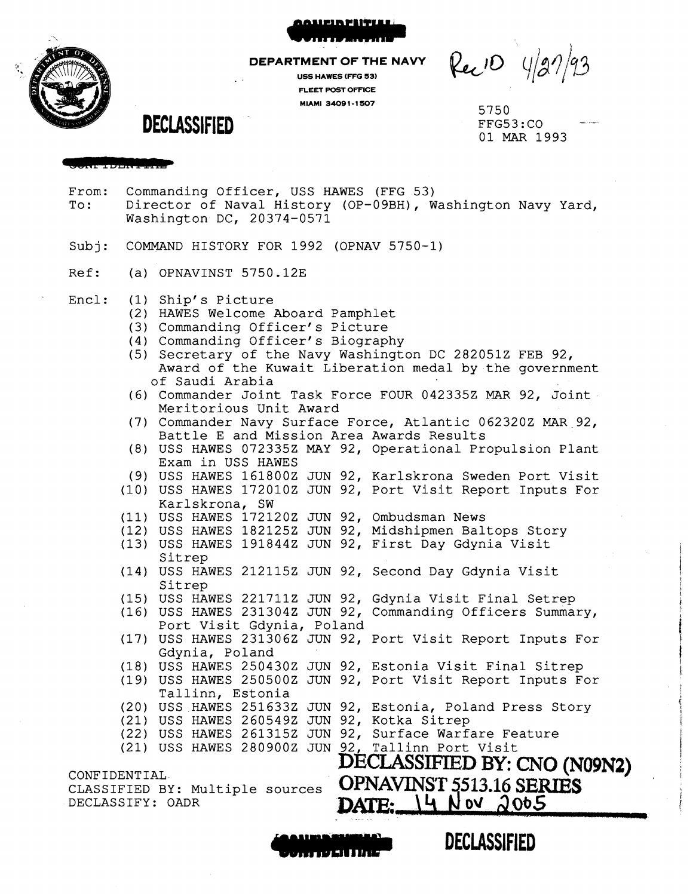

### **DEPARTMENT OF THE**

**USS HAWES (FFG 53) FLEET POST OFFICE MIAMI 34091-1507** 5750

Rec10 4/27/93

FFG53:CO 01 MAR 1993

**DECLASSIFIED** 

**&Shi 1222! I IRE** 

- From: Commanding Officer, USS HAWES (FFG 53)<br>To: Director of Naval History (OP-09BH), W Director of Naval History (OP-09BH), Washington Navy Yard, Washington DC, 20374-0571
- Subj: COMMAND HISTORY FOR 1992 (OPNAV 5750-1)
- Ref: (a) OPNAVINST 5750.12E
- Encl: (1) Ship's Picture
	- (2) HAWES Welcome Aboard Pamphlet
	- (3) Commanding Officer's Picture
	- (4) Commanding Officer's Biography
	- (5) Secretary of the Navy Washington DC 2820512 FEB 92, Award of the Kuwait Liberation medal by the government of Saudi Arabia
	- (6) Commander Joint Task Force FOUR 042335Z MAR 92, Joint Meritorious Unit Award
	- (7) Commander Navy Surface Force, Atlantic 0623202 MAR 92, Battle E and Mission Area Awards Results
	- (8) USS HAWES 072335Z MAY 92, Operational Propulsion Plant Exam in USS HAWES
	- (9) USS HAWES 1618002 JUN 92, Karlskrona Sweden Port Visit
	- (10) USS HAWES 1720102 JUN 92, Port Visit Report Inputs For Karlskrona, SW
	- ( 11) USS HAWES 1721202 JUN 92, Ombudsman News
	- (12) USS HAWES 1821252 JUN 92, Midshipmen Baltops Story
	- ( 13) USS HAWES 191844Z JUN 92, First Day Gdynia Visit Sitrep
	- ( 14) USS HAWES 2121152 JUN 92, Second Day Gdynia Visit Sitrep
	- (15) USS HAWES 221711Z JUN 92, Gdynia Visit Final Setrep (16) USS HAWES 2313042 JUN 92, Commanding Officers Summary,
	- (17) USS HAWES 2313062 JUN 92, Port Visit Report Inputs For Port Visit Gdynia, Poland
	- ( 18) USS HAWES 2504302 JUN 92, Estonia Visit Final Sitrep Gdynia, Poland
	- ( 19) USS HAWES 2505002 JUN 92, Port Visit Report Inputs For
	- Tallinn, Estonia

CLASSIFIED BY: Multiple sources

DECLASSIFY: OADR

- (20) USS HAWES 2516332 JUN 92, Estonia, Poland Press Story
- (21) USS HAWES 2605492 JUN 92, Kotka Sitrep
- (22) USS HAWES 2613152 JUN 92, Surface Warfare Feature
- (21) USS HAWES 2809002 JUN 92, Tallinn Port Visit

CONFIDENTIAL **DECIASSIFIED BY: CNO (N09N2)**  OPNAVINST 5513.16 **SERIES**<br>DATE:  $\begin{bmatrix} 14 & 10 & 00 & 00 & 05 \end{bmatrix}$  $\lambda$ 065



**DECLASSIFIED** 

**F II**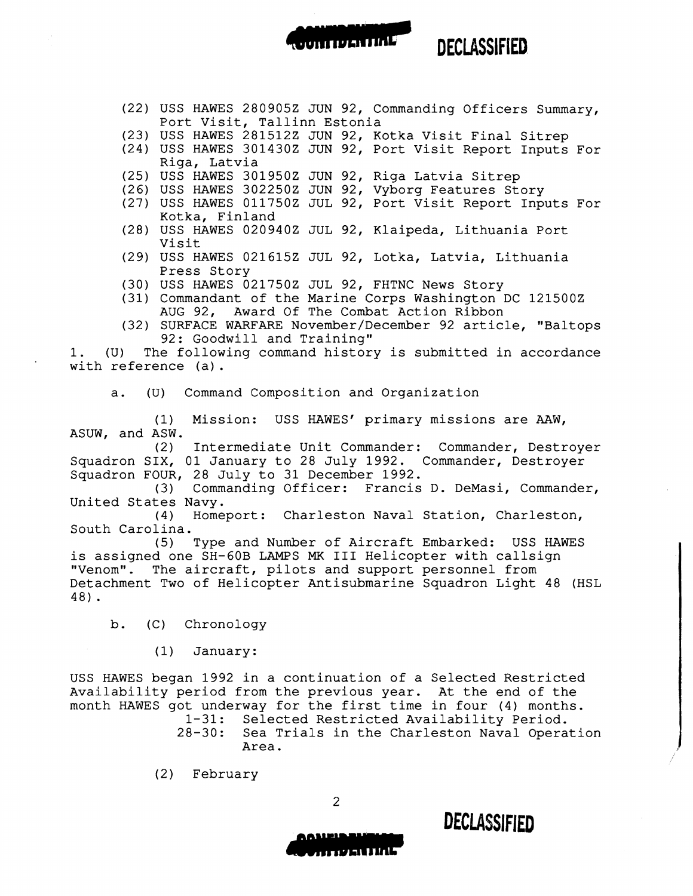(22) USS HAWES 280905Z JUN 92, Commanding Officers Summary, Port Visit, Tallinn Estonia

on regarding

**DECLASSIFIED.** 

- (23) USS HAWES 281512Z JUN 92, Kotka Visit Final Sitrep
- (24) USS HAWES 301430Z JUN 92, Port Visit Report Inputs For Riga, Latvia
- (25) USS HAWES 301950Z JUN 92, Riga Latvia Sitrep
- (26) USS HAWES 302250Z JUN 92, Vyborg Features Story
- (27) USS HAWES 011750Z JUL 92, Port Visit Report Inputs For Kotka, Finland
- (28) USS HAWES 020940Z JUL 92, Klaipeda, Lithuania Port Visit
- (29) USS HAWES 021615Z JUL 92, Lotka, Latvia, Lithuania Press Story
- (30) USS HAWES 021750Z JUL 92, FHTNC News Story
- (31) Commandant of the Marine Corps Washington DC 121500Z AUG 92, Award Of The Combat Action Ribbon
- (32) SURFACE WARFARE November/December 92 article, "Baltops 92: Goodwill and Training"

1. (U) The following command history is submitted in accordance with reference (a) .

a. (U) Command Composition and Organization

(1) Mission: USS HAWES' primary missions are AAW, ASUW, and ASW.

(2) Intermediate Unit Commander: Commander, Destroyer Squadron SIX, 01 January to 28 July 1992. Commander, Destroyer Squadron FOUR, 28 July to 31 December 1992.

(3) Commanding Officer: Francis D. DeMasi, Commander, United States Navy.<br>(4) Home

Homeport: Charleston Naval Station, Charleston, South Carolina.

Type and Number of Aircraft Embarked: USS HAWES is assigned one SH-60B LAMPS MK III Helicopter with callsign "Venom". The aircraft, pilots and support personnel from Detachment Two of Helicopter Antisubmarine Squadron Light 48 (HSL 4 8) •

- b. (C) Chronology
	- (1) January:

USS HAWES began 1992 in a continuation of a Selected Restricted Availability period from the previous year. At the end of the month HAWES got underway for the first time in four (4) months.<br>1-31: Selected Restricted Availability Period.

1-31: Selected Restricted Availability Period. Sea Trials in the Charleston Naval Operation Area.

(2) February



**DECLASSIFIED** 

2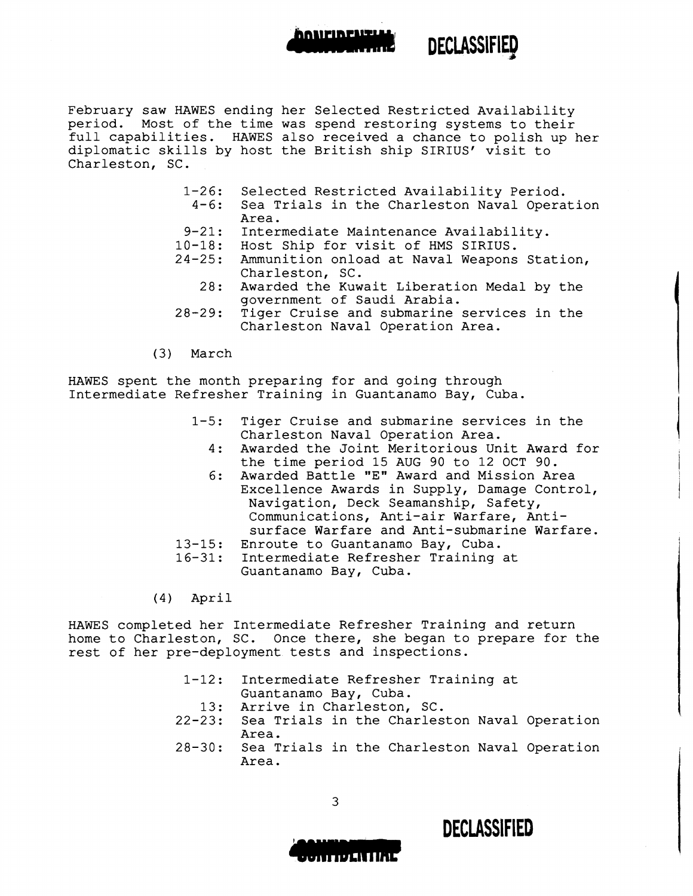## February saw HAWES ending her Selected Restricted Availability period. Most of the time was spend restoring systems to their full capabilities. HAWES also received a chance to polish up her diplomatic skills by host the British ship SIRIUS' visit to Charleston, SC.

- 1-26: Selected Restricted Availability Period.
	- $4 6:$ Sea Trials in the Charleston Naval Operation Area.

**DECLASSIFIED** 

"'

- 9-21: Intermediate Maintenance Availability.
- 10-18: Host Ship for visit of HMS SIRIUS.
- 24-25: Ammunition onload at Naval Weapons Station, Charleston, SC.
	- 28: Awarded the Kuwait Liberation Medal by the government of Saudi Arabia.
- 28-29: Tiger Cruise and submarine services in the Charleston Naval Operation Area.
- (3) March

HAWES spent the month preparing for and going through Intermediate Refresher Training in Guantanamo Bay, Cuba.

- $1 5:$ Tiger Cruise and submarine services in the Charleston Naval Operation Area.
	- 4: Awarded the Joint Meritorious Unit Award for the time period 15 AUG 90 to 12 OCT 90.
	- 6: Awarded Battle "E" Award and Mission Area Excellence Awards in Supply, Damage Control, Navigation, Deck Seamanship, Safety, Communications, Anti-air Warfare, Antisurface Warfare and Anti-submarine Warfare.
- 13-15: Enroute to Guantanamo Bay, Cuba.
	- 16-31: Intermediate Refresher Training at Guantanamo Bay, Cuba.

(4) April

HAWES completed her Intermediate Refresher Training and return home to Charleston, SC. Once there, she began to prepare for the rest of her pre-deployment tests and inspections.

- 1-12: 13: 22-23: Intermediate Refresher Training at Guantanamo Bay, Cuba. Arrive in Charleston, SC. Sea Trials in the Charleston Naval Operation Area.
- 28-30: Sea Trials in the Charleston Naval Operation Area.



**DECLASSIFIED**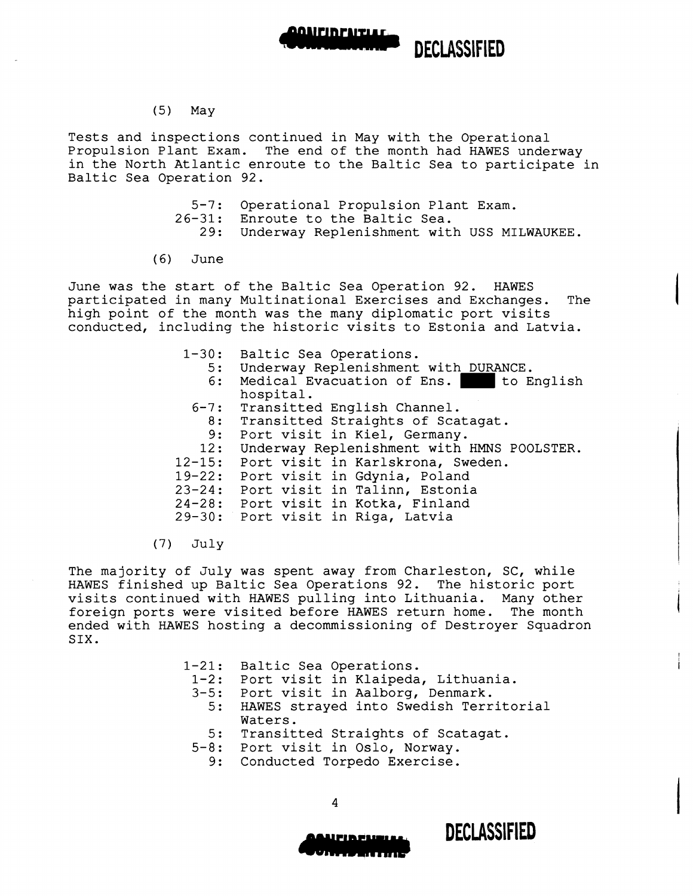

# (5) May

Tests and inspections continued in May with the Operational Propulsion Plant Exam. The end of the month had HAWES underway in the North Atlantic enroute to the Baltic Sea to participate in Baltic Sea Operation 92.

- 5-7: Operational Propulsion Plant Exam.
- 26-31: Enroute to the Baltic Sea.
	- 29: Underway Replenishment with USS MILWAUKEE.
- ( 6) June

June was the start of the Baltic Sea Operation 92. HAWES participated in many Multinational Exercises and Exchanges. The high point of the month was the many diplomatic port visits conducted, including the historic visits to Estonia and Latvia.

- $1 30:$ 5: 6: Baltic Sea Operations. Underway Replenishment with DURANCE.<br>Medical Evacuation of Ens. to English Medical Evacuation of Ens. hospital.
	- 6-7: Transitted English Channel.
		- .. Indictious Engrish Shannor.<br>8: Transitted Straights of Scatagat.
	- 9: Port visit in Kiel, Germany.
- 12: Underway Replenishment with HMNS POOLSTER.
- 12-15: Port visit in Karlskrona, Sweden.
- 19-22: Port visit in Gdynia, Poland
- 23-24: Port visit in Talinn, Estonia
- 24-28: Port visit in Kotka, Finland 29-30: Port visit in Riga, Latvia
- (7) July

The majority of July was spent away from Charleston, SC, while HAWES finished up Baltic Sea Operations 92. The historic port visits continued with HAWES pulling into Lithuania. Many other foreign ports were visited before HAWES return home. The month ended with HAWES hosting a decommissioning of Destroyer Squadron SIX.

| 1-21: Baltic Sea Operations.<br>1-2: Port visit in Klaipeda, Lithuania.<br>3-5: Port visit in Aalborg, Denmark.<br>5: HAWES strayed into Swedish Territorial |
|--------------------------------------------------------------------------------------------------------------------------------------------------------------|
| Waters.<br>5: Transitted Straights of Scatagat.<br>5-8: Port visit in Oslo, Norway.<br>9: Conducted Torpedo Exercise.                                        |

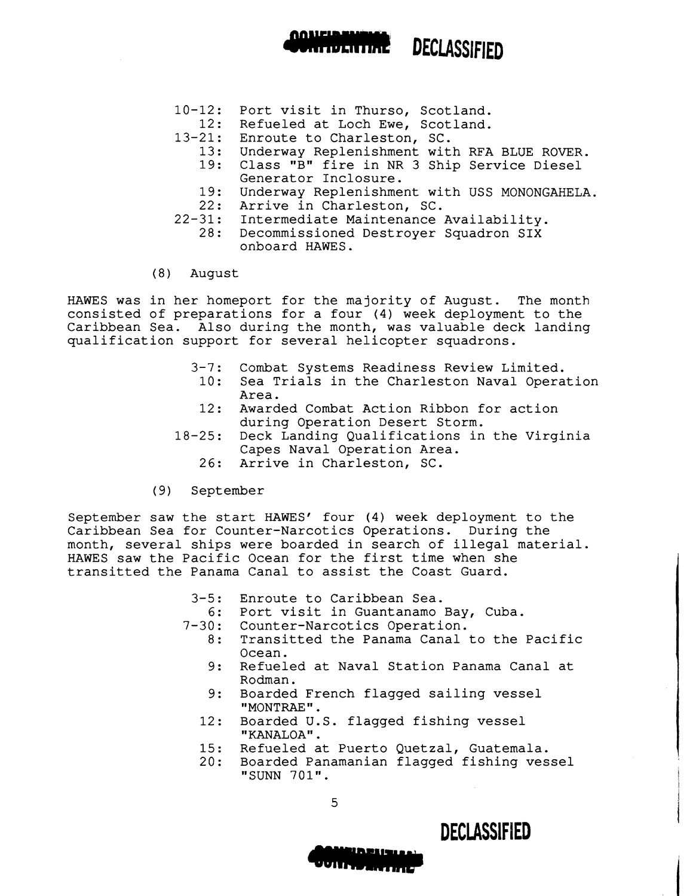# 10-12: Port visit in Thurso, Scotland.

- 12: Refueled at Loch Ewe, Scotland.
- 13-21: Enroute to Charleston, SC.
	- 13: Underway Replenishment with RFA BLUE ROVER.

--- **DECLASSIFIED** 

- 19: Class "B" fire in NR 3 Ship Service Diesel Generator Inclosure.
- 19: Underway Replenishment with USS MONONGAHELA.
- 22: Arrive in Charleston, SC.
- 22-31: Intermediate Maintenance Availability.
	- 28: Decommissioned Destroyer Squadron SIX onboard HAWES.
- (8) August

HAWES was in her homeport for the majority of August. The month consisted of preparations for a four (4) week deployment to the Caribbean Sea. Also during the month, was valuable deck landing qualification support for several helicopter squadrons.

- $3 7:$ Combat Systems Readiness Review Limited.
- 10: Sea Trials in the Charleston Naval Operation Area.
- 12: Awarded Combat Action Ribbon for action during Operation Desert Storm.
- 18-25: Deck Landing Qualifications in the Virginia Capes Naval Operation Area.
	- 26: Arrive in Charleston, SC.
- (9) September

September saw the start HAWES' four (4) week deployment to the Caribbean Sea for Counter-Narcotics Operations. During the month, several ships were boarded in search of illegal material. HAWES saw the Pacific Ocean for the first time when she transitted the Panama Canal to assist the Coast Guard.

3-5: Enroute to Caribbean Sea.

- 6: Port visit in Guantanamo Bay, Cuba.
- $7 30:$ Counter-Narcotics Operation.
	- 8: Transitted the Panama Canal to the Pacific Ocean.
		- 9: Refueled at Naval Station Panama Canal at Rodman.
	- 9: Boarded French flagged sailing vessel "MONTRAE".
	- 12: Boarded U.S. flagged fishing vessel "KANALOA".
	- 15: Refueled at Puerto Quetzal, Guatemala.
	- 20: Boarded Panamanian flagged fishing vessel "SUNN 701".

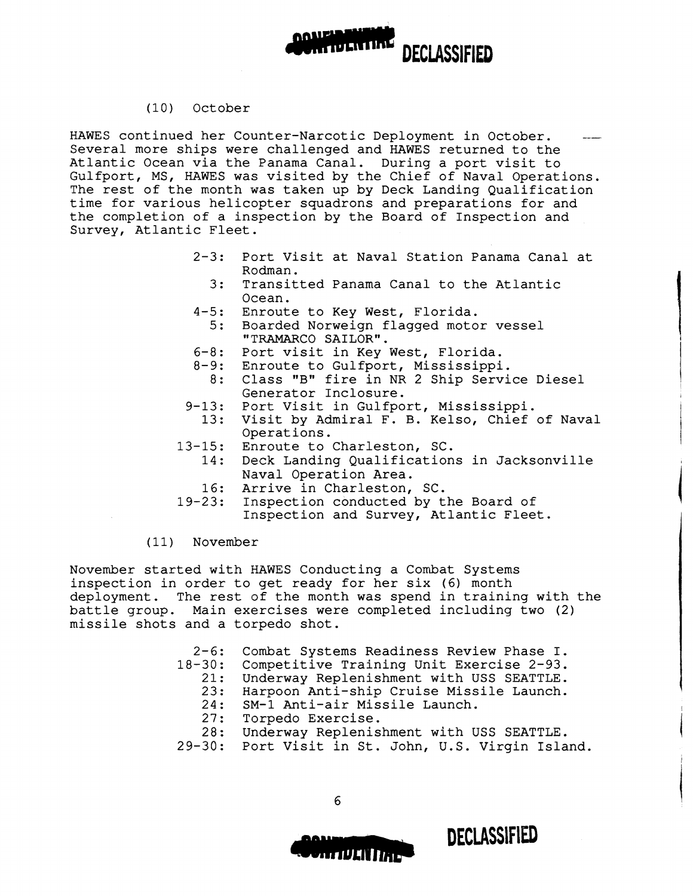

### (10) October

HAWES continued her Counter-Narcotic Deployment in October. Several more ships were challenged and HAWES returned to the Atlantic Ocean via the Panama Canal. During a port visit to Gulfport, MS, HAWES was visited by the Chief of Naval Operations. The rest of the month was taken up by Deck Landing Qualification time for various helicopter squadrons and preparations for and the completion of a inspection by the Board of Inspection and Survey, Atlantic Fleet.

- $2 3:$ Port Visit at Naval Station Panama Canal at Rodman.
	- 3: Transitted Panama Canal to the Atlantic Ocean.
- $4 5:$ Enroute to Key West, Florida.
- 5: Boarded Norweign flagged motor vessel "TRAMARCO SAILOR".
- 6-8: Port visit in Key West, Florida.
- 8-9: Enroute to Gulfport, Mississippi.
- 8: Class "B" fire in NR 2 Ship Service Diesel Generator Inclosure.
- $9 13:$ Port Visit in Gulfport, Mississippi.
- 13: Visit by Admiral F. B. Kelso, Chief of Naval Operations.
- 13-15: Enroute to Charleston, SC.
- 14: Deck Landing Qualifications in Jacksonville Naval Operation Area.
	- 16: Arrive in Charleston, SC.
- 19-23: Inspection conducted by the Board of Inspection and Survey, Atlantic Fleet.

## (11) November

November started with HAWES Conducting a Combat Systems inspection in order to get ready for her six (6) month deployment. The rest of the month was spend in training with the battle group. Main exercises were completed including two (2) missile shots and a torpedo shot.

|     | 2-6: Combat Systems Readiness Review Phase I.      |
|-----|----------------------------------------------------|
|     | 18-30: Competitive Training Unit Exercise 2-93.    |
|     | 21: Underway Replenishment with USS SEATTLE.       |
|     | 23: Harpoon Anti-ship Cruise Missile Launch.       |
|     | 24: SM-1 Anti-air Missile Launch.                  |
| 27: | Torpedo Exercise.                                  |
|     | 28: Underway Replenishment with USS SEATTLE.       |
|     | 29-30: Port Visit in St. John, U.S. Virgin Island. |

6

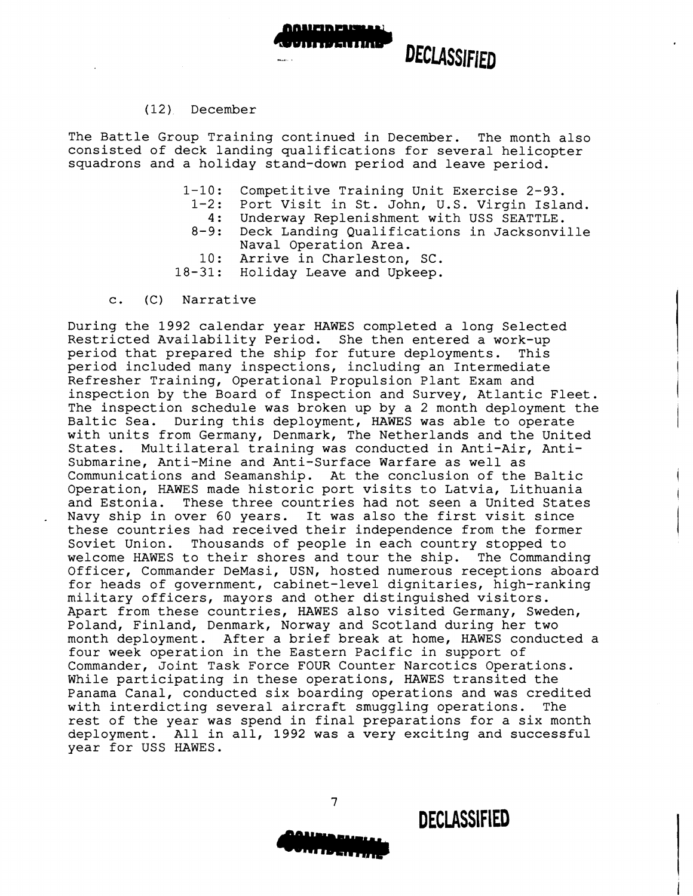

### ( 12 ). December

The Battle Group Training continued in December. The month also consisted of deck landing qualifications for several helicopter squadrons and a holiday stand-down period and leave period.

- $1 10:$ Competitive Training Unit Exercise 2-93.
	- $1 2:$ Port Visit in St. John, U.S. Virgin Island.
	- 4: Underway Replenishment with USS SEATTLE.
	- $8 9:$ Deck Landing Qualifications in Jacksonville Naval Operation Area.
	- 10: Arrive in Charleston, SC.
- 18-31: Holiday Leave and Upkeep.
- c. (C) Narrative

During the 1992 calendar year HAWES completed a long Selected Restricted Availability Period. She then entered a work-up<br>period that prepared the ship for future deployments. This period that prepared the ship for future deployments. period included many inspections, including an Intermediate Refresher Training, Operational Propulsion Plant Exam and inspection by the Board of Inspection and Survey, Atlantic Fleet. The inspection schedule was broken up by a 2 month deployment the Baltic Sea. During this deployment, HAWES was able to operate with units from Germany, Denmark, The Netherlands and the United<br>States. Multilateral training was conducted in Anti-Air, Anti-Multilateral training was conducted in Anti-Air, Antisubmarine, Anti-Mine and Anti-Surface Warfare as well as Communications and Seamanship. At the conclusion of the Baltic Operation, HAWES made historic port visits to Latvia, Lithuania<br>and Estonia. These three countries had not seen a United States These three countries had not seen a United States Navy ship in over 60 years. It was also the first visit since these countries had received their independence from the former Soviet Union. Thousands of people in each country stopped to welcome HAWES to their shores and tour the ship. The Commanding Officer, Commander DeMasi, USN, hosted numerous receptions aboard for heads of government, cabinet-level dignitaries, high-ranking military officers, mayors and other distinguished visitors. Apart from these countries, HAWES also visited Germany, Sweden, Poland, Finland, Denmark, Norway and Scotland during her two month deployment. After a brief break at home, HAWES conducted a four week operation in the Eastern Pacific in support of Commander, Joint Task Force FOUR Counter Narcotics Operations. While participating in these operations, HAWES transited the Panama Canal, conducted six boarding operations and was credited with interdicting several aircraft smuggling operations. The rest of the year was spend in final preparations for a six month deployment. All in all, 1992 was a very exciting and successful year for USS HAWES.

7

**DECLASSIFIED**